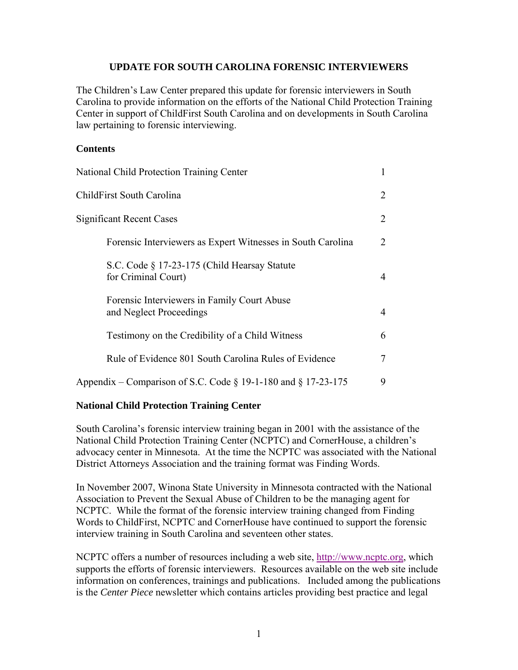### **UPDATE FOR SOUTH CAROLINA FORENSIC INTERVIEWERS**

The Children's Law Center prepared this update for forensic interviewers in South Carolina to provide information on the efforts of the National Child Protection Training Center in support of ChildFirst South Carolina and on developments in South Carolina law pertaining to forensic interviewing.

### **Contents**

| <b>National Child Protection Training Center</b>                       |                |
|------------------------------------------------------------------------|----------------|
| ChildFirst South Carolina                                              | $\overline{2}$ |
| <b>Significant Recent Cases</b>                                        | 2              |
| Forensic Interviewers as Expert Witnesses in South Carolina            | 2              |
| S.C. Code § 17-23-175 (Child Hearsay Statute<br>for Criminal Court)    | 4              |
| Forensic Interviewers in Family Court Abuse<br>and Neglect Proceedings | 4              |
| Testimony on the Credibility of a Child Witness                        | 6              |
| Rule of Evidence 801 South Carolina Rules of Evidence                  | 7              |
| Appendix – Comparison of S.C. Code $\S$ 19-1-180 and $\S$ 17-23-175    | 9              |

## **National Child Protection Training Center**

South Carolina's forensic interview training began in 2001 with the assistance of the National Child Protection Training Center (NCPTC) and CornerHouse, a children's advocacy center in Minnesota. At the time the NCPTC was associated with the National District Attorneys Association and the training format was Finding Words.

In November 2007, Winona State University in Minnesota contracted with the National Association to Prevent the Sexual Abuse of Children to be the managing agent for NCPTC. While the format of the forensic interview training changed from Finding Words to ChildFirst, NCPTC and CornerHouse have continued to support the forensic interview training in South Carolina and seventeen other states.

NCPTC offers a number of resources including a web site, http://www.ncptc.org, which supports the efforts of forensic interviewers. Resources available on the web site include information on conferences, trainings and publications. Included among the publications is the *Center Piece* newsletter which contains articles providing best practice and legal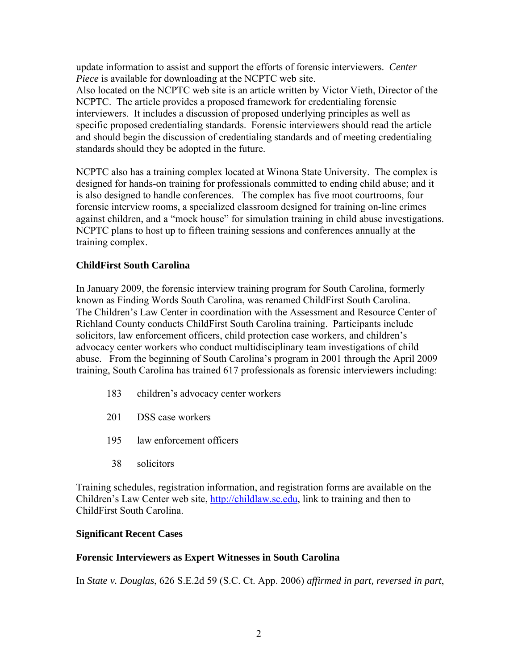update information to assist and support the efforts of forensic interviewers. *Center Piece* is available for downloading at the NCPTC web site.

Also located on the NCPTC web site is an article written by Victor Vieth, Director of the NCPTC. The article provides a proposed framework for credentialing forensic interviewers. It includes a discussion of proposed underlying principles as well as specific proposed credentialing standards. Forensic interviewers should read the article and should begin the discussion of credentialing standards and of meeting credentialing standards should they be adopted in the future.

NCPTC also has a training complex located at Winona State University. The complex is designed for hands-on training for professionals committed to ending child abuse; and it is also designed to handle conferences. The complex has five moot courtrooms, four forensic interview rooms, a specialized classroom designed for training on-line crimes against children, and a "mock house" for simulation training in child abuse investigations. NCPTC plans to host up to fifteen training sessions and conferences annually at the training complex.

## **ChildFirst South Carolina**

In January 2009, the forensic interview training program for South Carolina, formerly known as Finding Words South Carolina, was renamed ChildFirst South Carolina. The Children's Law Center in coordination with the Assessment and Resource Center of Richland County conducts ChildFirst South Carolina training. Participants include solicitors, law enforcement officers, child protection case workers, and children's advocacy center workers who conduct multidisciplinary team investigations of child abuse. From the beginning of South Carolina's program in 2001 through the April 2009 training, South Carolina has trained 617 professionals as forensic interviewers including:

- 183 children's advocacy center workers
- 201 DSS case workers
- 195 law enforcement officers
- 38 solicitors

Training schedules, registration information, and registration forms are available on the Children's Law Center web site, http://childlaw.sc.edu, link to training and then to ChildFirst South Carolina.

## **Significant Recent Cases**

## **Forensic Interviewers as Expert Witnesses in South Carolina**

In *State v. Douglas*, 626 S.E.2d 59 (S.C. Ct. App. 2006) *affirmed in part, reversed in part*,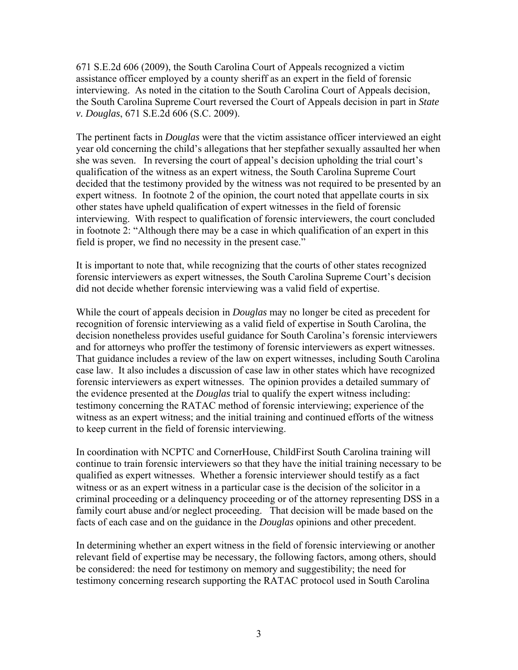671 S.E.2d 606 (2009), the South Carolina Court of Appeals recognized a victim assistance officer employed by a county sheriff as an expert in the field of forensic interviewing. As noted in the citation to the South Carolina Court of Appeals decision, the South Carolina Supreme Court reversed the Court of Appeals decision in part in *State v. Douglas*, 671 S.E.2d 606 (S.C. 2009).

The pertinent facts in *Douglas* were that the victim assistance officer interviewed an eight year old concerning the child's allegations that her stepfather sexually assaulted her when she was seven. In reversing the court of appeal's decision upholding the trial court's qualification of the witness as an expert witness, the South Carolina Supreme Court decided that the testimony provided by the witness was not required to be presented by an expert witness. In footnote 2 of the opinion, the court noted that appellate courts in six other states have upheld qualification of expert witnesses in the field of forensic interviewing. With respect to qualification of forensic interviewers, the court concluded in footnote 2: "Although there may be a case in which qualification of an expert in this field is proper, we find no necessity in the present case."

It is important to note that, while recognizing that the courts of other states recognized forensic interviewers as expert witnesses, the South Carolina Supreme Court's decision did not decide whether forensic interviewing was a valid field of expertise.

While the court of appeals decision in *Douglas* may no longer be cited as precedent for recognition of forensic interviewing as a valid field of expertise in South Carolina, the decision nonetheless provides useful guidance for South Carolina's forensic interviewers and for attorneys who proffer the testimony of forensic interviewers as expert witnesses. That guidance includes a review of the law on expert witnesses, including South Carolina case law. It also includes a discussion of case law in other states which have recognized forensic interviewers as expert witnesses. The opinion provides a detailed summary of the evidence presented at the *Douglas* trial to qualify the expert witness including: testimony concerning the RATAC method of forensic interviewing; experience of the witness as an expert witness; and the initial training and continued efforts of the witness to keep current in the field of forensic interviewing.

In coordination with NCPTC and CornerHouse, ChildFirst South Carolina training will continue to train forensic interviewers so that they have the initial training necessary to be qualified as expert witnesses. Whether a forensic interviewer should testify as a fact witness or as an expert witness in a particular case is the decision of the solicitor in a criminal proceeding or a delinquency proceeding or of the attorney representing DSS in a family court abuse and/or neglect proceeding. That decision will be made based on the facts of each case and on the guidance in the *Douglas* opinions and other precedent.

In determining whether an expert witness in the field of forensic interviewing or another relevant field of expertise may be necessary, the following factors, among others, should be considered: the need for testimony on memory and suggestibility; the need for testimony concerning research supporting the RATAC protocol used in South Carolina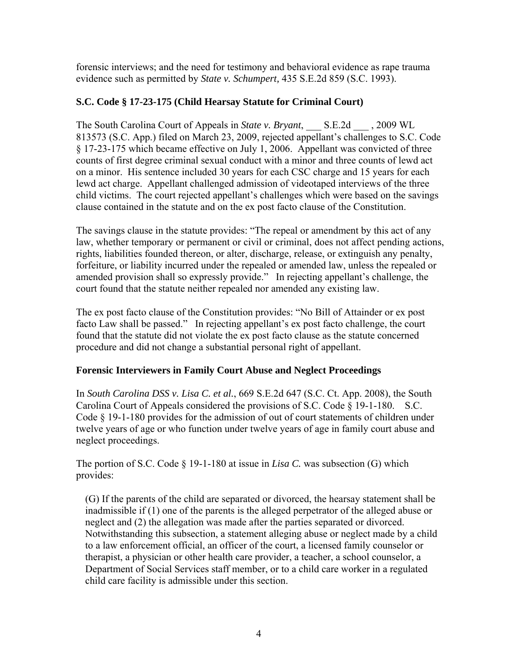forensic interviews; and the need for testimony and behavioral evidence as rape trauma evidence such as permitted by *State v. Schumpert,* 435 S.E.2d 859 (S.C. 1993).

## **S.C. Code § 17-23-175 (Child Hearsay Statute for Criminal Court)**

The South Carolina Court of Appeals in *State v. Bryant*, S.E.2d , 2009 WL 813573 (S.C. App.) filed on March 23, 2009, rejected appellant's challenges to S.C. Code § 17-23-175 which became effective on July 1, 2006. Appellant was convicted of three counts of first degree criminal sexual conduct with a minor and three counts of lewd act on a minor. His sentence included 30 years for each CSC charge and 15 years for each lewd act charge. Appellant challenged admission of videotaped interviews of the three child victims. The court rejected appellant's challenges which were based on the savings clause contained in the statute and on the ex post facto clause of the Constitution.

The savings clause in the statute provides: "The repeal or amendment by this act of any law, whether temporary or permanent or civil or criminal, does not affect pending actions, rights, liabilities founded thereon, or alter, discharge, release, or extinguish any penalty, forfeiture, or liability incurred under the repealed or amended law, unless the repealed or amended provision shall so expressly provide." In rejecting appellant's challenge, the court found that the statute neither repealed nor amended any existing law.

The ex post facto clause of the Constitution provides: "No Bill of Attainder or ex post facto Law shall be passed." In rejecting appellant's ex post facto challenge, the court found that the statute did not violate the ex post facto clause as the statute concerned procedure and did not change a substantial personal right of appellant.

## **Forensic Interviewers in Family Court Abuse and Neglect Proceedings**

In *South Carolina DSS v. Lisa C. et al.*, 669 S.E.2d 647 (S.C. Ct. App. 2008), the South Carolina Court of Appeals considered the provisions of S.C. Code § 19-1-180. S.C. Code § 19-1-180 provides for the admission of out of court statements of children under twelve years of age or who function under twelve years of age in family court abuse and neglect proceedings.

The portion of S.C. Code § 19-1-180 at issue in *Lisa C.* was subsection (G) which provides:

 (G) If the parents of the child are separated or divorced, the hearsay statement shall be inadmissible if (1) one of the parents is the alleged perpetrator of the alleged abuse or neglect and (2) the allegation was made after the parties separated or divorced. Notwithstanding this subsection, a statement alleging abuse or neglect made by a child to a law enforcement official, an officer of the court, a licensed family counselor or therapist, a physician or other health care provider, a teacher, a school counselor, a Department of Social Services staff member, or to a child care worker in a regulated child care facility is admissible under this section.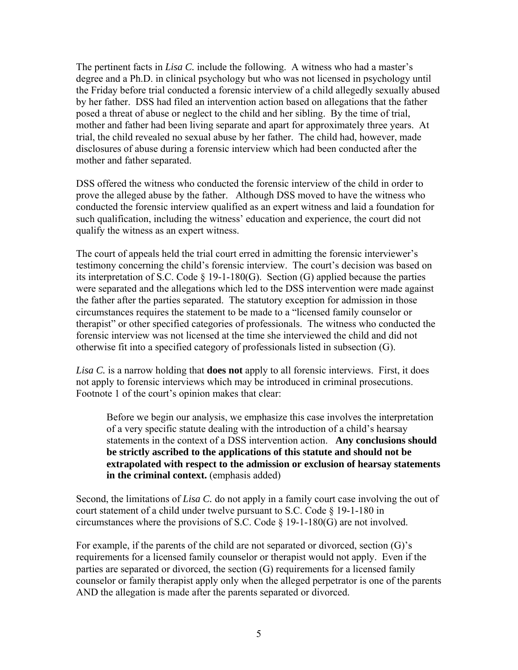The pertinent facts in *Lisa C.* include the following. A witness who had a master's degree and a Ph.D. in clinical psychology but who was not licensed in psychology until the Friday before trial conducted a forensic interview of a child allegedly sexually abused by her father. DSS had filed an intervention action based on allegations that the father posed a threat of abuse or neglect to the child and her sibling. By the time of trial, mother and father had been living separate and apart for approximately three years. At trial, the child revealed no sexual abuse by her father. The child had, however, made disclosures of abuse during a forensic interview which had been conducted after the mother and father separated.

DSS offered the witness who conducted the forensic interview of the child in order to prove the alleged abuse by the father. Although DSS moved to have the witness who conducted the forensic interview qualified as an expert witness and laid a foundation for such qualification, including the witness' education and experience, the court did not qualify the witness as an expert witness.

The court of appeals held the trial court erred in admitting the forensic interviewer's testimony concerning the child's forensic interview. The court's decision was based on its interpretation of S.C. Code § 19-1-180(G). Section (G) applied because the parties were separated and the allegations which led to the DSS intervention were made against the father after the parties separated. The statutory exception for admission in those circumstances requires the statement to be made to a "licensed family counselor or therapist" or other specified categories of professionals. The witness who conducted the forensic interview was not licensed at the time she interviewed the child and did not otherwise fit into a specified category of professionals listed in subsection (G).

*Lisa C.* is a narrow holding that **does not** apply to all forensic interviews. First, it does not apply to forensic interviews which may be introduced in criminal prosecutions. Footnote 1 of the court's opinion makes that clear:

 Before we begin our analysis, we emphasize this case involves the interpretation of a very specific statute dealing with the introduction of a child's hearsay statements in the context of a DSS intervention action. **Any conclusions should be strictly ascribed to the applications of this statute and should not be extrapolated with respect to the admission or exclusion of hearsay statements in the criminal context.** (emphasis added)

Second, the limitations of *Lisa C.* do not apply in a family court case involving the out of court statement of a child under twelve pursuant to S.C. Code § 19-1-180 in circumstances where the provisions of S.C. Code § 19-1-180(G) are not involved.

For example, if the parents of the child are not separated or divorced, section (G)'s requirements for a licensed family counselor or therapist would not apply. Even if the parties are separated or divorced, the section (G) requirements for a licensed family counselor or family therapist apply only when the alleged perpetrator is one of the parents AND the allegation is made after the parents separated or divorced.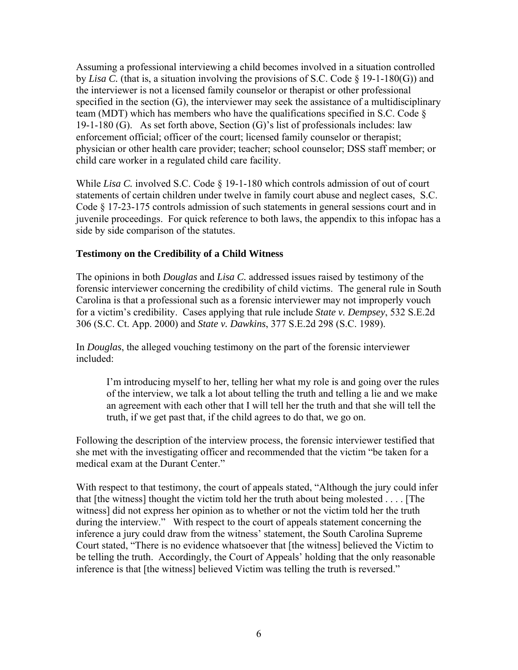Assuming a professional interviewing a child becomes involved in a situation controlled by *Lisa C.* (that is, a situation involving the provisions of S.C. Code § 19-1-180(G)) and the interviewer is not a licensed family counselor or therapist or other professional specified in the section  $(G)$ , the interviewer may seek the assistance of a multidisciplinary team (MDT) which has members who have the qualifications specified in S.C. Code § 19-1-180 (G). As set forth above, Section (G)'s list of professionals includes: law enforcement official; officer of the court; licensed family counselor or therapist; physician or other health care provider; teacher; school counselor; DSS staff member; or child care worker in a regulated child care facility.

While *Lisa C*. involved S.C. Code § 19-1-180 which controls admission of out of court statements of certain children under twelve in family court abuse and neglect cases, S.C. Code § 17-23-175 controls admission of such statements in general sessions court and in juvenile proceedings. For quick reference to both laws, the appendix to this infopac has a side by side comparison of the statutes.

## **Testimony on the Credibility of a Child Witness**

The opinions in both *Douglas* and *Lisa C.* addressed issues raised by testimony of the forensic interviewer concerning the credibility of child victims. The general rule in South Carolina is that a professional such as a forensic interviewer may not improperly vouch for a victim's credibility. Cases applying that rule include *State v. Dempsey*, 532 S.E.2d 306 (S.C. Ct. App. 2000) and *State v. Dawkins*, 377 S.E.2d 298 (S.C. 1989).

In *Douglas*, the alleged vouching testimony on the part of the forensic interviewer included:

 I'm introducing myself to her, telling her what my role is and going over the rules of the interview, we talk a lot about telling the truth and telling a lie and we make an agreement with each other that I will tell her the truth and that she will tell the truth, if we get past that, if the child agrees to do that, we go on.

Following the description of the interview process, the forensic interviewer testified that she met with the investigating officer and recommended that the victim "be taken for a medical exam at the Durant Center."

With respect to that testimony, the court of appeals stated, "Although the jury could infer that [the witness] thought the victim told her the truth about being molested . . . . [The witness] did not express her opinion as to whether or not the victim told her the truth during the interview." With respect to the court of appeals statement concerning the inference a jury could draw from the witness' statement, the South Carolina Supreme Court stated, "There is no evidence whatsoever that [the witness] believed the Victim to be telling the truth. Accordingly, the Court of Appeals' holding that the only reasonable inference is that [the witness] believed Victim was telling the truth is reversed."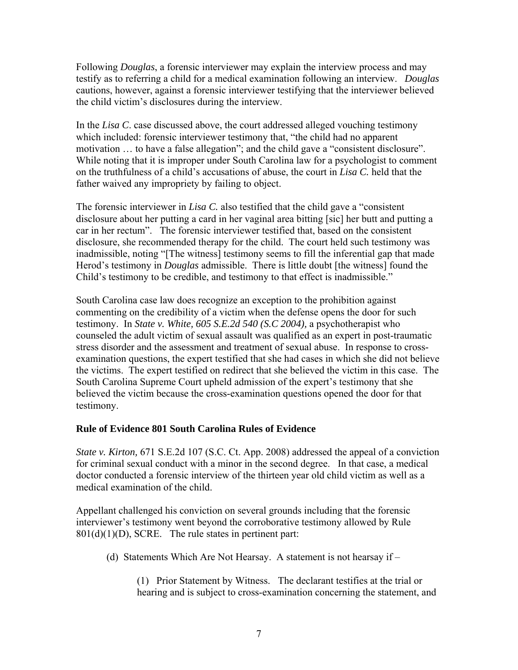Following *Douglas*, a forensic interviewer may explain the interview process and may testify as to referring a child for a medical examination following an interview. *Douglas* cautions, however, against a forensic interviewer testifying that the interviewer believed the child victim's disclosures during the interview.

In the *Lisa C*. case discussed above, the court addressed alleged vouching testimony which included: forensic interviewer testimony that, "the child had no apparent motivation … to have a false allegation"; and the child gave a "consistent disclosure". While noting that it is improper under South Carolina law for a psychologist to comment on the truthfulness of a child's accusations of abuse, the court in *Lisa C.* held that the father waived any impropriety by failing to object.

The forensic interviewer in *Lisa C.* also testified that the child gave a "consistent disclosure about her putting a card in her vaginal area bitting [sic] her butt and putting a car in her rectum". The forensic interviewer testified that, based on the consistent disclosure, she recommended therapy for the child. The court held such testimony was inadmissible, noting "[The witness] testimony seems to fill the inferential gap that made Herod's testimony in *Douglas* admissible. There is little doubt [the witness] found the Child's testimony to be credible, and testimony to that effect is inadmissible."

South Carolina case law does recognize an exception to the prohibition against commenting on the credibility of a victim when the defense opens the door for such testimony. In *State v. White, 605 S.E.2d 540 (S.C 2004),* a psychotherapist who counseled the adult victim of sexual assault was qualified as an expert in post-traumatic stress disorder and the assessment and treatment of sexual abuse. In response to crossexamination questions, the expert testified that she had cases in which she did not believe the victims. The expert testified on redirect that she believed the victim in this case. The South Carolina Supreme Court upheld admission of the expert's testimony that she believed the victim because the cross-examination questions opened the door for that testimony.

#### **Rule of Evidence 801 South Carolina Rules of Evidence**

*State v. Kirton,* 671 S.E.2d 107 (S.C. Ct. App. 2008) addressed the appeal of a conviction for criminal sexual conduct with a minor in the second degree. In that case, a medical doctor conducted a forensic interview of the thirteen year old child victim as well as a medical examination of the child.

Appellant challenged his conviction on several grounds including that the forensic interviewer's testimony went beyond the corroborative testimony allowed by Rule 801(d)(1)(D), SCRE. The rule states in pertinent part:

(d) Statements Which Are Not Hearsay. A statement is not hearsay if –

 (1) Prior Statement by Witness. The declarant testifies at the trial or hearing and is subject to cross-examination concerning the statement, and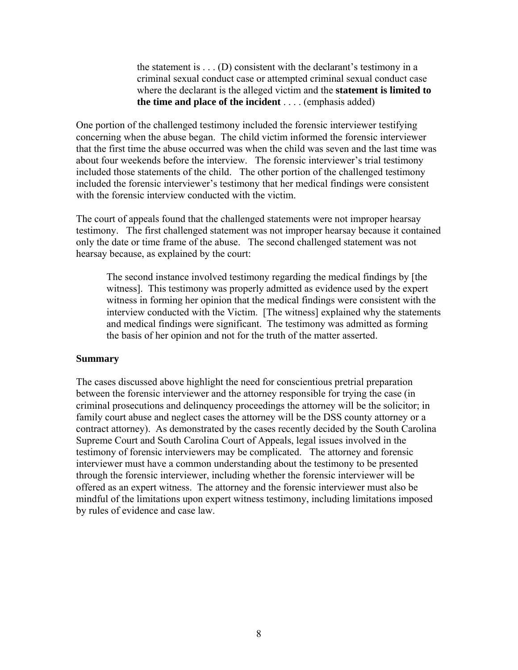the statement is  $\dots$  (D) consistent with the declarant's testimony in a criminal sexual conduct case or attempted criminal sexual conduct case where the declarant is the alleged victim and the **statement is limited to the time and place of the incident** . . . . (emphasis added)

One portion of the challenged testimony included the forensic interviewer testifying concerning when the abuse began. The child victim informed the forensic interviewer that the first time the abuse occurred was when the child was seven and the last time was about four weekends before the interview. The forensic interviewer's trial testimony included those statements of the child. The other portion of the challenged testimony included the forensic interviewer's testimony that her medical findings were consistent with the forensic interview conducted with the victim.

The court of appeals found that the challenged statements were not improper hearsay testimony. The first challenged statement was not improper hearsay because it contained only the date or time frame of the abuse. The second challenged statement was not hearsay because, as explained by the court:

 The second instance involved testimony regarding the medical findings by [the witness]. This testimony was properly admitted as evidence used by the expert witness in forming her opinion that the medical findings were consistent with the interview conducted with the Victim. [The witness] explained why the statements and medical findings were significant. The testimony was admitted as forming the basis of her opinion and not for the truth of the matter asserted.

#### **Summary**

The cases discussed above highlight the need for conscientious pretrial preparation between the forensic interviewer and the attorney responsible for trying the case (in criminal prosecutions and delinquency proceedings the attorney will be the solicitor; in family court abuse and neglect cases the attorney will be the DSS county attorney or a contract attorney). As demonstrated by the cases recently decided by the South Carolina Supreme Court and South Carolina Court of Appeals, legal issues involved in the testimony of forensic interviewers may be complicated. The attorney and forensic interviewer must have a common understanding about the testimony to be presented through the forensic interviewer, including whether the forensic interviewer will be offered as an expert witness. The attorney and the forensic interviewer must also be mindful of the limitations upon expert witness testimony, including limitations imposed by rules of evidence and case law.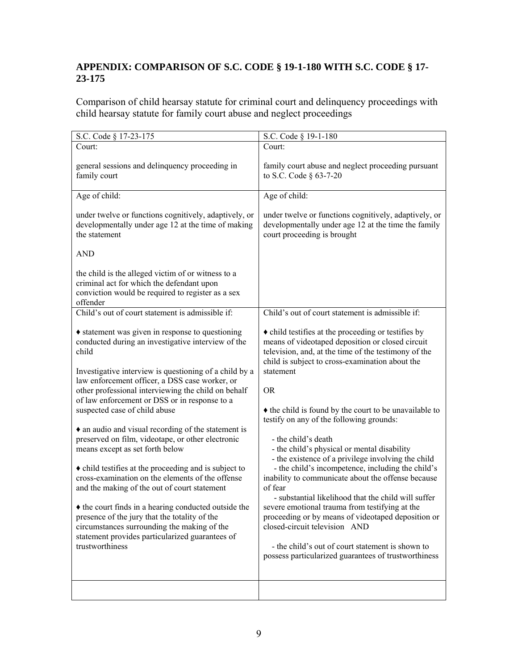# **APPENDIX: COMPARISON OF S.C. CODE § 19-1-180 WITH S.C. CODE § 17- 23-175**

Comparison of child hearsay statute for criminal court and delinquency proceedings with child hearsay statute for family court abuse and neglect proceedings

| S.C. Code § 17-23-175                                                                                                                                                                                                                                                                                                                                                                                                                                                                                                                                                                                                                                                                                                                                                                                                                                                                                          | S.C. Code § 19-1-180                                                                                                                                                                                                                                                                                                                                                                                                                                                                                                                                                                                                                                                                                                                                                                                                                                                                                             |
|----------------------------------------------------------------------------------------------------------------------------------------------------------------------------------------------------------------------------------------------------------------------------------------------------------------------------------------------------------------------------------------------------------------------------------------------------------------------------------------------------------------------------------------------------------------------------------------------------------------------------------------------------------------------------------------------------------------------------------------------------------------------------------------------------------------------------------------------------------------------------------------------------------------|------------------------------------------------------------------------------------------------------------------------------------------------------------------------------------------------------------------------------------------------------------------------------------------------------------------------------------------------------------------------------------------------------------------------------------------------------------------------------------------------------------------------------------------------------------------------------------------------------------------------------------------------------------------------------------------------------------------------------------------------------------------------------------------------------------------------------------------------------------------------------------------------------------------|
| Court:                                                                                                                                                                                                                                                                                                                                                                                                                                                                                                                                                                                                                                                                                                                                                                                                                                                                                                         | Court:                                                                                                                                                                                                                                                                                                                                                                                                                                                                                                                                                                                                                                                                                                                                                                                                                                                                                                           |
| general sessions and delinquency proceeding in<br>family court                                                                                                                                                                                                                                                                                                                                                                                                                                                                                                                                                                                                                                                                                                                                                                                                                                                 | family court abuse and neglect proceeding pursuant<br>to S.C. Code § 63-7-20                                                                                                                                                                                                                                                                                                                                                                                                                                                                                                                                                                                                                                                                                                                                                                                                                                     |
| Age of child:                                                                                                                                                                                                                                                                                                                                                                                                                                                                                                                                                                                                                                                                                                                                                                                                                                                                                                  | Age of child:                                                                                                                                                                                                                                                                                                                                                                                                                                                                                                                                                                                                                                                                                                                                                                                                                                                                                                    |
| under twelve or functions cognitively, adaptively, or<br>developmentally under age 12 at the time of making<br>the statement<br><b>AND</b><br>the child is the alleged victim of or witness to a<br>criminal act for which the defendant upon<br>conviction would be required to register as a sex<br>offender                                                                                                                                                                                                                                                                                                                                                                                                                                                                                                                                                                                                 | under twelve or functions cognitively, adaptively, or<br>developmentally under age 12 at the time the family<br>court proceeding is brought                                                                                                                                                                                                                                                                                                                                                                                                                                                                                                                                                                                                                                                                                                                                                                      |
| Child's out of court statement is admissible if:                                                                                                                                                                                                                                                                                                                                                                                                                                                                                                                                                                                                                                                                                                                                                                                                                                                               | Child's out of court statement is admissible if:                                                                                                                                                                                                                                                                                                                                                                                                                                                                                                                                                                                                                                                                                                                                                                                                                                                                 |
| • statement was given in response to questioning<br>conducted during an investigative interview of the<br>child<br>Investigative interview is questioning of a child by a<br>law enforcement officer, a DSS case worker, or<br>other professional interviewing the child on behalf<br>of law enforcement or DSS or in response to a<br>suspected case of child abuse<br>• an audio and visual recording of the statement is<br>preserved on film, videotape, or other electronic<br>means except as set forth below<br>• child testifies at the proceeding and is subject to<br>cross-examination on the elements of the offense<br>and the making of the out of court statement<br>• the court finds in a hearing conducted outside the<br>presence of the jury that the totality of the<br>circumstances surrounding the making of the<br>statement provides particularized guarantees of<br>trustworthiness | • child testifies at the proceeding or testifies by<br>means of videotaped deposition or closed circuit<br>television, and, at the time of the testimony of the<br>child is subject to cross-examination about the<br>statement<br><b>OR</b><br>• the child is found by the court to be unavailable to<br>testify on any of the following grounds:<br>- the child's death<br>- the child's physical or mental disability<br>- the existence of a privilege involving the child<br>- the child's incompetence, including the child's<br>inability to communicate about the offense because<br>of fear<br>- substantial likelihood that the child will suffer<br>severe emotional trauma from testifying at the<br>proceeding or by means of videotaped deposition or<br>closed-circuit television AND<br>- the child's out of court statement is shown to<br>possess particularized guarantees of trustworthiness |
|                                                                                                                                                                                                                                                                                                                                                                                                                                                                                                                                                                                                                                                                                                                                                                                                                                                                                                                |                                                                                                                                                                                                                                                                                                                                                                                                                                                                                                                                                                                                                                                                                                                                                                                                                                                                                                                  |
|                                                                                                                                                                                                                                                                                                                                                                                                                                                                                                                                                                                                                                                                                                                                                                                                                                                                                                                |                                                                                                                                                                                                                                                                                                                                                                                                                                                                                                                                                                                                                                                                                                                                                                                                                                                                                                                  |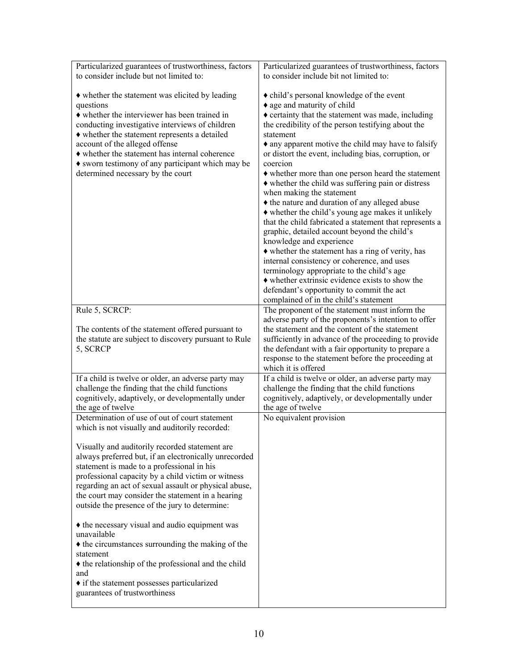| Particularized guarantees of trustworthiness, factors                                                                                                                                                                                                                                                                                                                                                                                                                                                                                                                                                                                                                                                                                                                                                                                                                                |
|--------------------------------------------------------------------------------------------------------------------------------------------------------------------------------------------------------------------------------------------------------------------------------------------------------------------------------------------------------------------------------------------------------------------------------------------------------------------------------------------------------------------------------------------------------------------------------------------------------------------------------------------------------------------------------------------------------------------------------------------------------------------------------------------------------------------------------------------------------------------------------------|
|                                                                                                                                                                                                                                                                                                                                                                                                                                                                                                                                                                                                                                                                                                                                                                                                                                                                                      |
| to consider include bit not limited to:<br>• child's personal knowledge of the event<br>• age and maturity of child<br>$\triangle$ certainty that the statement was made, including<br>the credibility of the person testifying about the<br>statement<br>• any apparent motive the child may have to falsify<br>or distort the event, including bias, corruption, or<br>coercion<br>• whether more than one person heard the statement<br>$\bullet$ whether the child was suffering pain or distress<br>when making the statement<br>• the nature and duration of any alleged abuse<br>• whether the child's young age makes it unlikely<br>that the child fabricated a statement that represents a<br>graphic, detailed account beyond the child's<br>knowledge and experience<br>• whether the statement has a ring of verity, has<br>internal consistency or coherence, and uses |
| terminology appropriate to the child's age<br>$\bullet$ whether extrinsic evidence exists to show the<br>defendant's opportunity to commit the act<br>complained of in the child's statement                                                                                                                                                                                                                                                                                                                                                                                                                                                                                                                                                                                                                                                                                         |
| The proponent of the statement must inform the                                                                                                                                                                                                                                                                                                                                                                                                                                                                                                                                                                                                                                                                                                                                                                                                                                       |
| adverse party of the proponents's intention to offer<br>the statement and the content of the statement<br>sufficiently in advance of the proceeding to provide<br>the defendant with a fair opportunity to prepare a<br>response to the statement before the proceeding at<br>which it is offered                                                                                                                                                                                                                                                                                                                                                                                                                                                                                                                                                                                    |
| If a child is twelve or older, an adverse party may<br>challenge the finding that the child functions<br>cognitively, adaptively, or developmentally under<br>the age of twelve                                                                                                                                                                                                                                                                                                                                                                                                                                                                                                                                                                                                                                                                                                      |
| No equivalent provision                                                                                                                                                                                                                                                                                                                                                                                                                                                                                                                                                                                                                                                                                                                                                                                                                                                              |
|                                                                                                                                                                                                                                                                                                                                                                                                                                                                                                                                                                                                                                                                                                                                                                                                                                                                                      |
|                                                                                                                                                                                                                                                                                                                                                                                                                                                                                                                                                                                                                                                                                                                                                                                                                                                                                      |